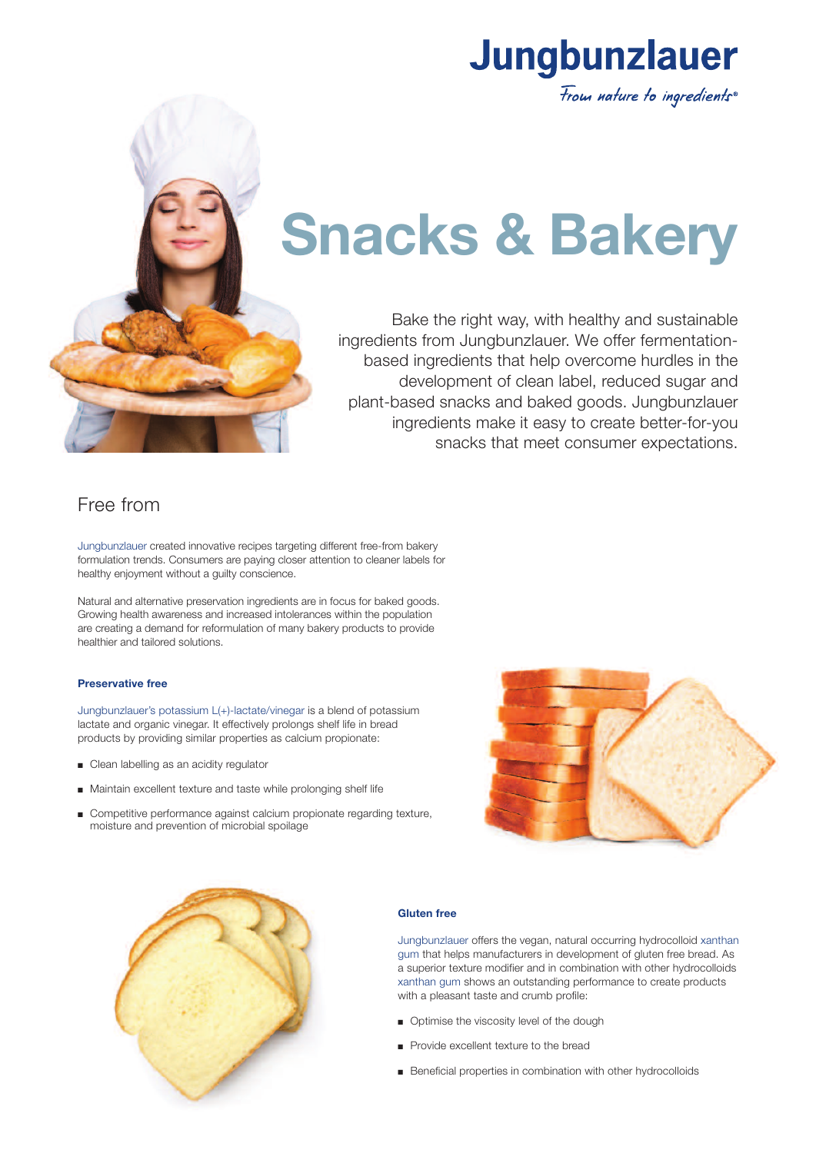



# **Snacks & Bakery**

Bake the right way, with healthy and sustainable ingredients from Jungbunzlauer. We offer fermentationbased ingredients that help overcome hurdles in the development of clean label, reduced sugar and plant-based snacks and baked goods. Jungbunzlauer ingredients make it easy to create better-for-you snacks that meet consumer expectations.

## Free from

Jungbunzlauer created innovative recipes targeting different free-from bakery formulation trends. Consumers are paying closer attention to cleaner labels for healthy enjoyment without a guilty conscience.

Natural and alternative preservation ingredients are in focus for baked goods. Growing health awareness and increased intolerances within the population are creating a demand for reformulation of many bakery products to provide healthier and tailored solutions.

### **Preservative free**

Jungbunzlauer's potassium L(+)-lactate/vinegar is a blend of potassium lactate and organic vinegar. It effectively prolongs shelf life in bread products by providing similar properties as calcium propionate:

- Clean labelling as an acidity regulator
- Maintain excellent texture and taste while prolonging shelf life
- Competitive performance against calcium propionate regarding texture, moisture and prevention of microbial spoilage





### **Gluten free**

Jungbunzlauer offers the vegan, natural occurring hydrocolloid xanthan gum that helps manufacturers in development of gluten free bread. As a superior texture modifier and in combination with other hydrocolloids xanthan gum shows an outstanding performance to create products with a pleasant taste and crumb profile:

- **n** Optimise the viscosity level of the dough
- **n** Provide excellent texture to the bread
- **E** Beneficial properties in combination with other hydrocolloids